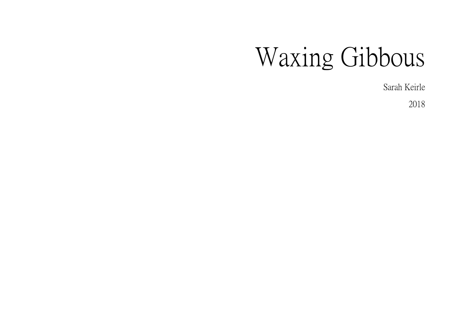# Waxing Gibbous

Sarah Keirle

2018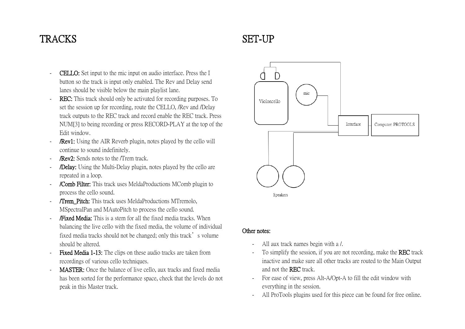#### **TRACKS**

#### **CELLO:** Set input to the mic input on audio interface. Press the I button so the track is input only enabled. The Rev and Delay send lanes should be visible below the main playlist lane.

- REC: This track should only be activated for recording purposes. To set the session up for recording, route the CELLO, /Rev and /Delay track outputs to the REC track and record enable the REC track. Press NUM[3] to being recording or press RECORD-PLAY at the top of the Edit window.
- **/Rev1:** Using the AIR Reverb plugin, notes played by the cello will continue to sound indefinitely.
- **/Rev2:** Sends notes to the /Trem track.
- **/Delay:** Using the Multi-Delay plugin, notes played by the cello are repeated in a loop.
- /Comb Filter: This track uses MeldaProductions MComb plugin to process the cello sound.
- **/Trem\_Pitch:** This track uses MeldaProductions MTremolo, MSpectralPan and MAutoPitch to process the cello sound.
- **/Fixed Media:** This is a stem for all the fixed media tracks. When balancing the live cello with the fixed media, the volume of individual fixed media tracks should not be changed; only this track's volume should be altered.
- Fixed Media 1-13: The clips on these audio tracks are taken from recordings of various cello techniques.
- **MASTER:** Once the balance of live cello, aux tracks and fixed media has been sorted for the performance space, check that the levels do not peak in this Master track.

# mic Violoncello Interface Computer: PROTOOLS

### Speakers

#### Other notes:

- All aux track names begin with a /.
- To simplify the session, if you are not recording, make the **REC** track inactive and make sure all other tracks are routed to the Main Output and not the REC track.
- For ease of view, press Alt-A/Opt-A to fill the edit window with everything in the session.
- All ProTools plugins used for this piece can be found for free online.

## SET-UP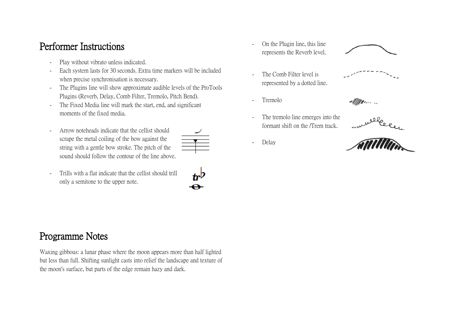#### Performer Instructions

- Play without vibrato unless indicated.
- Each system lasts for 30 seconds. Extra time markers will be included when precise synchronisation is necessary.
- The Plugins line will show approximate audible levels of the ProTools Plugins (Reverb, Delay, Comb Filter, Tremolo, Pitch Bend).
- The Fixed Media line will mark the start, end, and significant moments of the fixed media.
- Arrow noteheads indicate that the cellist should scrape the metal coiling of the bow against the string with a gentle bow stroke. The pitch of the sound should follow the contour of the line above.
- Trills with a flat indicate that the cellist should trill only a semitone to the upper note.

- On the Plugin line, this line represents the Reverb level.
- The Comb Filter level is represented by a dotted line.
- Tremolo
- The tremolo line emerges into the formant shift on the /Trem track.
- Delay











#### Programme Notes

Waxing gibbous: a lunar phase where the moon appears more than half lighted but less than full. Shifting sunlight casts into relief the landscape and texture of the moon's surface, but parts of the edge remain hazy and dark.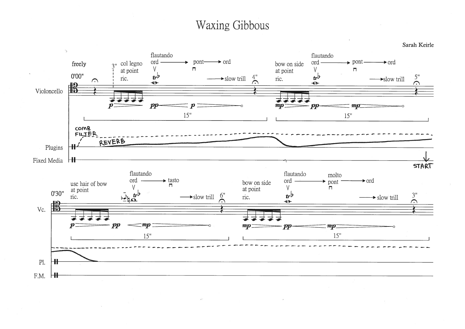## **Waxing Gibbous**

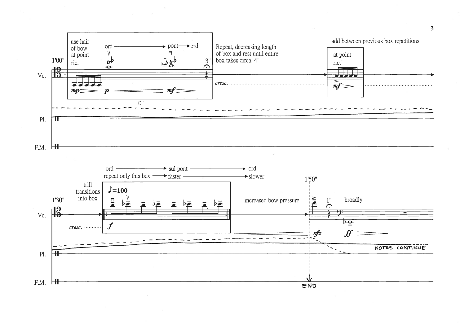

 $\sim$ 

 $\overline{3}$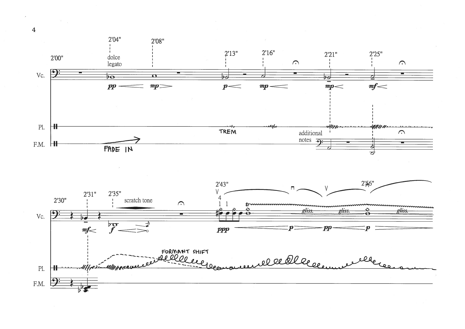



 $\overline{4}$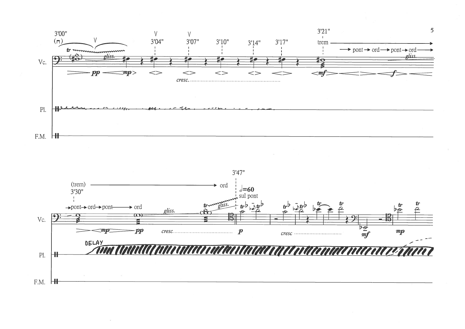